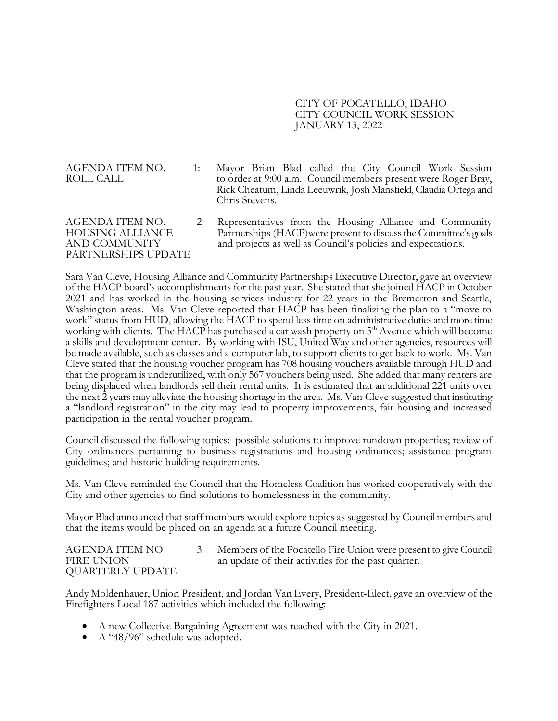CITY OF POCATELLO, IDAHO CITY COUNCIL WORK SESSION JANUARY 13, 2022

## AGENDA ITEM NO. 1: Mayor Brian Blad called the City Council Work Session ROLL CALL to order at 9:00 a.m. Council members present were Roger Bray, Rick Cheatum, Linda Leeuwrik, Josh Mansfield, Claudia Ortega and Chris Stevens.

AGENDA ITEM NO. 2: Representatives from the Housing Alliance and Community HOUSING ALLIANCE Partnerships (HACP)were present to discuss the Committee's goals AND COMMUNITY and projects as well as Council's policies and expectations. PARTNERSHIPS UPDATE

Sara Van Cleve, Housing Alliance and Community Partnerships Executive Director, gave an overview of the HACP board's accomplishments for the past year. She stated that she joined HACP in October 2021 and has worked in the housing services industry for 22 years in the Bremerton and Seattle, Washington areas. Ms. Van Cleve reported that HACP has been finalizing the plan to a "move to work" status from HUD, allowing the HACP to spend less time on administrative duties and more time working with clients. The HACP has purchased a car wash property on 5<sup>th</sup> Avenue which will become a skills and development center. By working with ISU, United Way and other agencies, resources will be made available, such as classes and a computer lab, to support clients to get back to work. Ms. Van Cleve stated that the housing voucher program has 708 housing vouchers available through HUD and that the program is underutilized, with only 567 vouchers being used. She added that many renters are being displaced when landlords sell their rental units. It is estimated that an additional 221 units over the next 2 years may alleviate the housing shortage in the area. Ms. Van Cleve suggested that instituting a "landlord registration" in the city may lead to property improvements, fair housing and increased participation in the rental voucher program.

Council discussed the following topics: possible solutions to improve rundown properties; review of City ordinances pertaining to business registrations and housing ordinances; assistance program guidelines; and historic building requirements.

Ms. Van Cleve reminded the Council that the Homeless Coalition has worked cooperatively with the City and other agencies to find solutions to homelessness in the community.

Mayor Blad announced that staff members would explore topics as suggested by Council members and that the items would be placed on an agenda at a future Council meeting.

AGENDA ITEM NO 3: Members of the Pocatello Fire Union were present to give Council FIRE UNION an update of their activities for the past quarter. QUARTERLY UPDATE

Andy Moldenhauer, Union President, and Jordan Van Every, President-Elect, gave an overview of the Firefighters Local 187 activities which included the following:

- A new Collective Bargaining Agreement was reached with the City in 2021.
- A "48/96" schedule was adopted.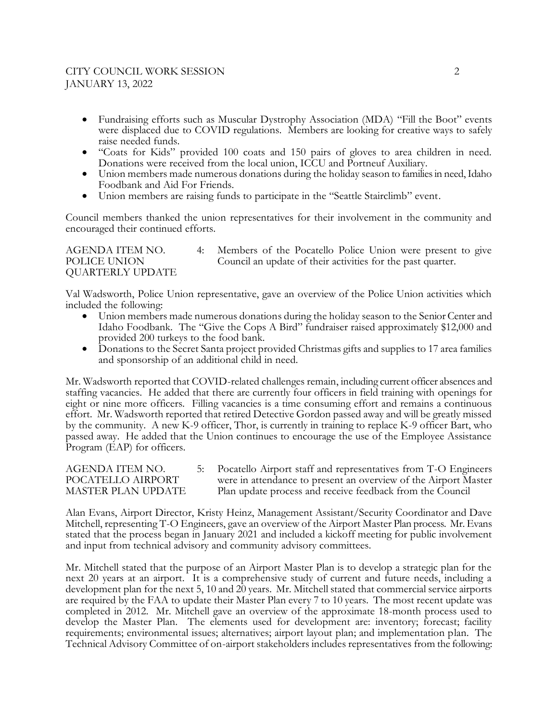## CITY COUNCIL WORK SESSION 2 JANUARY 13, 2022

- Fundraising efforts such as Muscular Dystrophy Association (MDA) "Fill the Boot" events were displaced due to COVID regulations. Members are looking for creative ways to safely raise needed funds.
- "Coats for Kids" provided 100 coats and 150 pairs of gloves to area children in need. Donations were received from the local union, ICCU and Portneuf Auxiliary.
- Union members made numerous donations during the holiday season to families in need, Idaho Foodbank and Aid For Friends.
- Union members are raising funds to participate in the "Seattle Stairclimb" event.

Council members thanked the union representatives for their involvement in the community and encouraged their continued efforts.

AGENDA ITEM NO. 4: Members of the Pocatello Police Union were present to give POLICE UNION Council an update of their activities for the past quarter. QUARTERLY UPDATE

Val Wadsworth, Police Union representative, gave an overview of the Police Union activities which included the following:

- Union members made numerous donations during the holiday season to the Senior Center and Idaho Foodbank. The "Give the Cops A Bird" fundraiser raised approximately \$12,000 and provided 200 turkeys to the food bank.
- Donations to the Secret Santa project provided Christmas gifts and supplies to 17 area families and sponsorship of an additional child in need.

Mr. Wadsworth reported that COVID-related challenges remain, including current officer absences and staffing vacancies. He added that there are currently four officers in field training with openings for eight or nine more officers. Filling vacancies is a time consuming effort and remains a continuous effort. Mr. Wadsworth reported that retired Detective Gordon passed away and will be greatly missed by the community. A new K-9 officer, Thor, is currently in training to replace K-9 officer Bart, who passed away. He added that the Union continues to encourage the use of the Employee Assistance Program (EAP) for officers.

```
AGENDA ITEM NO. 5: Pocatello Airport staff and representatives from T-O Engineers 
POCATELLO AIRPORT were in attendance to present an overview of the Airport Master 
MASTER PLAN UPDATE Plan update process and receive feedback from the Council
```
Alan Evans, Airport Director, Kristy Heinz, Management Assistant/Security Coordinator and Dave Mitchell, representing T-O Engineers, gave an overview of the Airport Master Plan process. Mr. Evans stated that the process began in January 2021 and included a kickoff meeting for public involvement and input from technical advisory and community advisory committees.

Mr. Mitchell stated that the purpose of an Airport Master Plan is to develop a strategic plan for the next 20 years at an airport. It is a comprehensive study of current and future needs, including a development plan for the next 5, 10 and 20 years. Mr. Mitchell stated that commercial service airports are required by the FAA to update their Master Plan every 7 to 10 years. The most recent update was completed in 2012. Mr. Mitchell gave an overview of the approximate 18-month process used to develop the Master Plan. The elements used for development are: inventory; forecast; facility requirements; environmental issues; alternatives; airport layout plan; and implementation plan. The Technical Advisory Committee of on-airport stakeholders includes representatives from the following: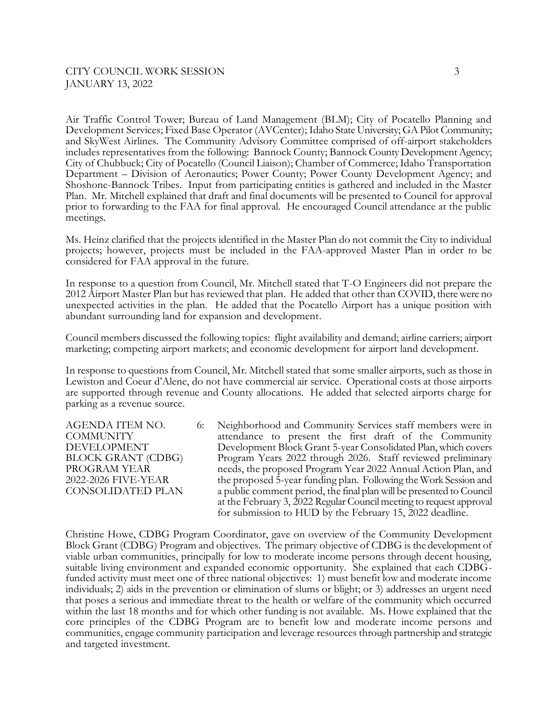Air Traffic Control Tower; Bureau of Land Management (BLM); City of Pocatello Planning and Development Services; Fixed Base Operator (AVCenter); Idaho State University; GA Pilot Community; and SkyWest Airlines. The Community Advisory Committee comprised of off-airport stakeholders includes representatives from the following: Bannock County; Bannock County Development Agency; City of Chubbuck; City of Pocatello (Council Liaison); Chamber of Commerce; Idaho Transportation Department – Division of Aeronautics; Power County; Power County Development Agency; and Shoshone-Bannock Tribes. Input from participating entities is gathered and included in the Master Plan. Mr. Mitchell explained that draft and final documents will be presented to Council for approval prior to forwarding to the FAA for final approval. He encouraged Council attendance at the public meetings.

Ms. Heinz clarified that the projects identified in the Master Plan do not commit the City to individual projects; however, projects must be included in the FAA-approved Master Plan in order to be considered for FAA approval in the future.

In response to a question from Council, Mr. Mitchell stated that T-O Engineers did not prepare the 2012 Airport Master Plan but has reviewed that plan. He added that other than COVID, there were no unexpected activities in the plan. He added that the Pocatello Airport has a unique position with abundant surrounding land for expansion and development.

Council members discussed the following topics: flight availability and demand; airline carriers; airport marketing; competing airport markets; and economic development for airport land development.

In response to questions from Council, Mr. Mitchell stated that some smaller airports, such as those in Lewiston and Coeur d'Alene, do not have commercial air service. Operational costs at those airports are supported through revenue and County allocations. He added that selected airports charge for parking as a revenue source.

AGENDA ITEM NO. 6: Neighborhood and Community Services staff members were in COMMUNITY attendance to present the first draft of the Community DEVELOPMENT Development Block Grant 5-year Consolidated Plan, which covers BLOCK GRANT (CDBG) Program Years 2022 through 2026. Staff reviewed preliminary PROGRAM YEAR needs, the proposed Program Year 2022 Annual Action Plan, and 2022-2026 FIVE-YEAR the proposed 5-year funding plan. Following the Work Session and CONSOLIDATED PLAN a public comment period, the final plan will be presented to Council at the February 3, 2022 Regular Council meeting to request approval for submission to HUD by the February 15, 2022 deadline.

Christine Howe, CDBG Program Coordinator, gave on overview of the Community Development Block Grant (CDBG) Program and objectives. The primary objective of CDBG is the development of viable urban communities, principally for low to moderate income persons through decent housing, suitable living environment and expanded economic opportunity. She explained that each CDBGfunded activity must meet one of three national objectives: 1) must benefit low and moderate income individuals; 2) aids in the prevention or elimination of slums or blight; or 3) addresses an urgent need that poses a serious and immediate threat to the health or welfare of the community which occurred within the last 18 months and for which other funding is not available. Ms. Howe explained that the core principles of the CDBG Program are to benefit low and moderate income persons and communities, engage community participation and leverage resources through partnership and strategic and targeted investment.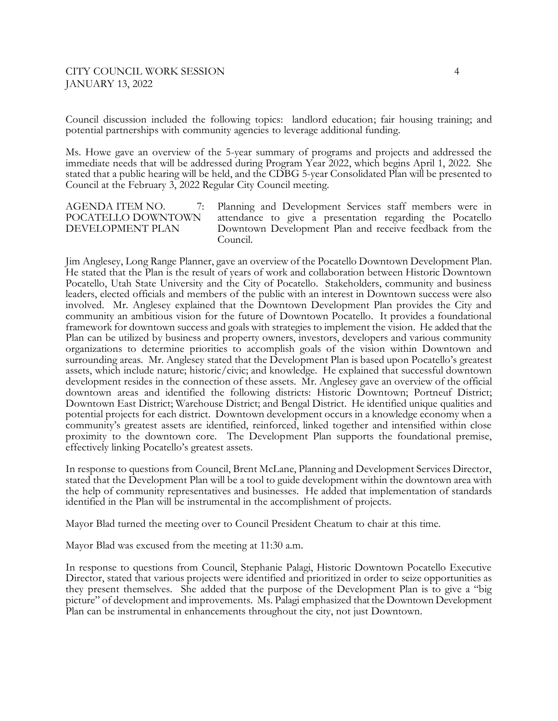Council discussion included the following topics: landlord education; fair housing training; and potential partnerships with community agencies to leverage additional funding.

Ms. Howe gave an overview of the 5-year summary of programs and projects and addressed the immediate needs that will be addressed during Program Year 2022, which begins April 1, 2022. She stated that a public hearing will be held, and the CDBG 5-year Consolidated Plan will be presented to Council at the February 3, 2022 Regular City Council meeting.

AGENDA ITEM NO.  $\qquad$  7: Planning and Development Services staff members were in POCATELLO DOWNTOWN attendance to give a presentation regarding the Pocatello DEVELOPMENT PLAN Downtown Development Plan and receive feedback from the Council.

Jim Anglesey, Long Range Planner, gave an overview of the Pocatello Downtown Development Plan. He stated that the Plan is the result of years of work and collaboration between Historic Downtown Pocatello, Utah State University and the City of Pocatello. Stakeholders, community and business leaders, elected officials and members of the public with an interest in Downtown success were also involved. Mr. Anglesey explained that the Downtown Development Plan provides the City and community an ambitious vision for the future of Downtown Pocatello. It provides a foundational framework for downtown success and goals with strategies to implement the vision. He added that the Plan can be utilized by business and property owners, investors, developers and various community organizations to determine priorities to accomplish goals of the vision within Downtown and surrounding areas. Mr. Anglesey stated that the Development Plan is based upon Pocatello's greatest assets, which include nature; historic/civic; and knowledge. He explained that successful downtown development resides in the connection of these assets. Mr. Anglesey gave an overview of the official downtown areas and identified the following districts: Historic Downtown; Portneuf District; Downtown East District; Warehouse District; and Bengal District. He identified unique qualities and potential projects for each district. Downtown development occurs in a knowledge economy when a community's greatest assets are identified, reinforced, linked together and intensified within close proximity to the downtown core. The Development Plan supports the foundational premise, effectively linking Pocatello's greatest assets.

In response to questions from Council, Brent McLane, Planning and Development Services Director, stated that the Development Plan will be a tool to guide development within the downtown area with the help of community representatives and businesses. He added that implementation of standards identified in the Plan will be instrumental in the accomplishment of projects.

Mayor Blad turned the meeting over to Council President Cheatum to chair at this time.

Mayor Blad was excused from the meeting at 11:30 a.m.

In response to questions from Council, Stephanie Palagi, Historic Downtown Pocatello Executive Director, stated that various projects were identified and prioritized in order to seize opportunities as they present themselves. She added that the purpose of the Development Plan is to give a "big picture" of development and improvements. Ms. Palagi emphasized that the Downtown Development Plan can be instrumental in enhancements throughout the city, not just Downtown.